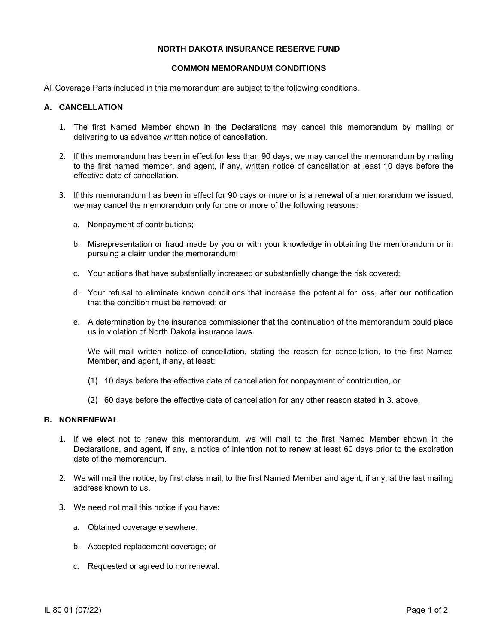### **NORTH DAKOTA INSURANCE RESERVE FUND**

### **COMMON MEMORANDUM CONDITIONS**

All Coverage Parts included in this memorandum are subject to the following conditions.

## **A. CANCELLATION**

- 1. The first Named Member shown in the Declarations may cancel this memorandum by mailing or delivering to us advance written notice of cancellation.
- 2. If this memorandum has been in effect for less than 90 days, we may cancel the memorandum by mailing to the first named member, and agent, if any, written notice of cancellation at least 10 days before the effective date of cancellation.
- 3. If this memorandum has been in effect for 90 days or more or is a renewal of a memorandum we issued, we may cancel the memorandum only for one or more of the following reasons:
	- a. Nonpayment of contributions;
	- b. Misrepresentation or fraud made by you or with your knowledge in obtaining the memorandum or in pursuing a claim under the memorandum;
	- c. Your actions that have substantially increased or substantially change the risk covered;
	- d. Your refusal to eliminate known conditions that increase the potential for loss, after our notification that the condition must be removed; or
	- e. A determination by the insurance commissioner that the continuation of the memorandum could place us in violation of North Dakota insurance laws.

We will mail written notice of cancellation, stating the reason for cancellation, to the first Named Member, and agent, if any, at least:

- (1) 10 days before the effective date of cancellation for nonpayment of contribution, or
- (2) 60 days before the effective date of cancellation for any other reason stated in 3. above.

### **B. NONRENEWAL**

- 1. If we elect not to renew this memorandum, we will mail to the first Named Member shown in the Declarations, and agent, if any, a notice of intention not to renew at least 60 days prior to the expiration date of the memorandum.
- 2. We will mail the notice, by first class mail, to the first Named Member and agent, if any, at the last mailing address known to us.
- 3. We need not mail this notice if you have:
	- a. Obtained coverage elsewhere;
	- b. Accepted replacement coverage; or
	- c. Requested or agreed to nonrenewal.